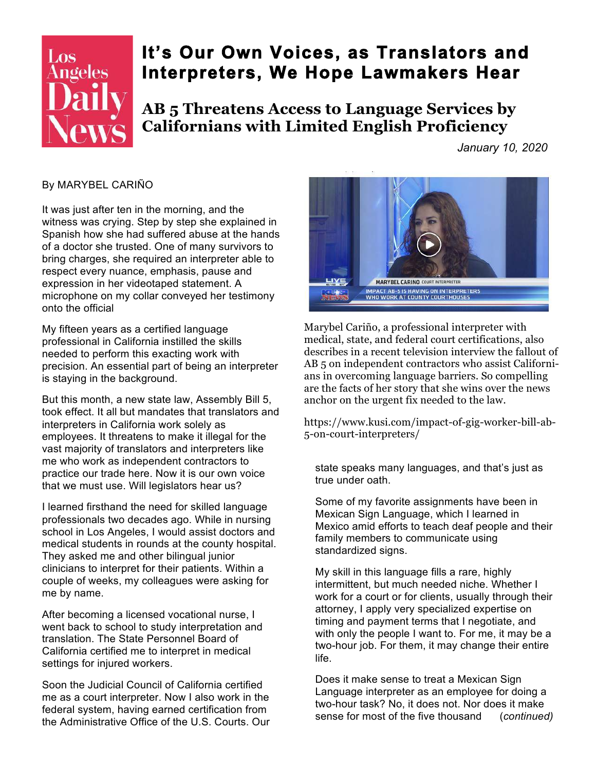

## **It's Our Own Voices, as Translators and Interpreters, We Hope Lawmakers Hear**

**AB 5 Threatens Access to Language Services by Californians with Limited English Proficiency** 

*January 10, 2020* 

## By MARYBEL CARIÑO

It was just after ten in the morning, and the witness was crying. Step by step she explained in Spanish how she had suffered abuse at the hands of a doctor she trusted. One of many survivors to bring charges, she required an interpreter able to respect every nuance, emphasis, pause and expression in her videotaped statement. A microphone on my collar conveyed her testimony onto the official

My fifteen years as a certified language professional in California instilled the skills needed to perform this exacting work with precision. An essential part of being an interpreter is staying in the background.

But this month, a new state law, Assembly Bill 5, took effect. It all but mandates that translators and interpreters in California work solely as employees. It threatens to make it illegal for the vast majority of translators and interpreters like me who work as independent contractors to practice our trade here. Now it is our own voice that we must use. Will legislators hear us?

I learned firsthand the need for skilled language professionals two decades ago. While in nursing school in Los Angeles, I would assist doctors and medical students in rounds at the county hospital. They asked me and other bilingual junior clinicians to interpret for their patients. Within a couple of weeks, my colleagues were asking for me by name.

After becoming a licensed vocational nurse, I went back to school to study interpretation and translation. The State Personnel Board of California certified me to interpret in medical settings for injured workers.

Soon the Judicial Council of California certified me as a court interpreter. Now I also work in the federal system, having earned certification from the Administrative Office of the U.S. Courts. Our



Marybel Cariño, a professional interpreter with medical, state, and federal court certifications, also describes in a recent television interview the fallout of AB 5 on independent contractors who assist Californians in overcoming language barriers. So compelling are the facts of her story that she wins over the news anchor on the urgent fix needed to the law.

https://www.kusi.com/impact-of-gig-worker-bill-ab-5-on-court-interpreters/

state speaks many languages, and that's just as true under oath.

Some of my favorite assignments have been in Mexican Sign Language, which I learned in Mexico amid efforts to teach deaf people and their family members to communicate using standardized signs.

My skill in this language fills a rare, highly intermittent, but much needed niche. Whether I work for a court or for clients, usually through their attorney, I apply very specialized expertise on timing and payment terms that I negotiate, and with only the people I want to. For me, it may be a two-hour job. For them, it may change their entire life.

Does it make sense to treat a Mexican Sign Language interpreter as an employee for doing a two-hour task? No, it does not. Nor does it make sense for most of the five thousand (*continued)*